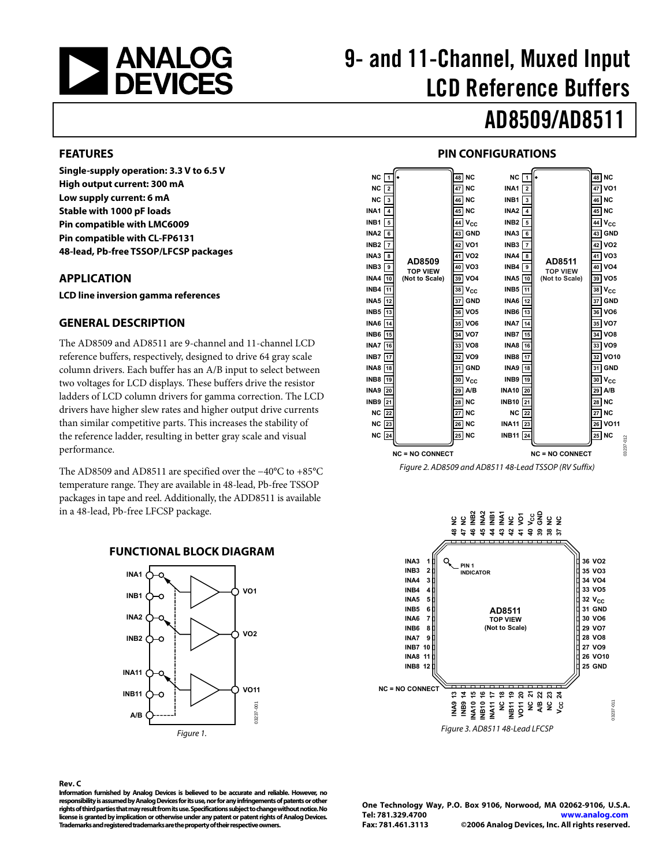<span id="page-0-0"></span>

# 9- and 11-Channel, Muxed Input LCD Reference Buffers

# AD8509/AD8511

**High output current: 300 mA Low supply current: 6 mA Stable with 1000 pF loads Pin compatible with LMC6009 Pin compatible with CL-FP6131 48-lead, Pb-free TSSOP/LFCSP packages** 

#### **APPLICATION**

**LCD line inversion gamma references** 

#### **GENERAL DESCRIPTION**

The AD8509 and AD8511 are 9-channel and 11-channel LCD reference buffers, respectively, designed to drive 64 gray scale column drivers. Each buffer has an A/B input to select between two voltages for LCD displays. These buffers drive the resistor ladders of LCD column drivers for gamma correction. The LCD drivers have higher slew rates and higher output drive currents than similar competitive parts. This increases the stability of the reference ladder, resulting in better gray scale and visual performance.

Figure 2. AD8509 and AD8511 48-Lead TSSOP (RV Suffix) The AD8509 and AD8511 are specified over the −40°C to +85°C temperature range. They are available in 48-lead, Pb-free TSSOP packages in tape and reel. Additionally, the ADD8511 is available in a 48-lead, Pb-free LFCSP package.



#### **FUNCTIONAL BLOCK DIAGRAM**

#### **Rev. C**

**Information furnished by Analog Devices is believed to be accurate and reliable. However, no responsibility is assumed by Analog Devices for its use, nor for any infringements of patents or other rights of third parties that may result from its use. Specifications subject to change without notice. No license is granted by implication or otherwise under any patent or patent rights of Analog Devices. Trademarks and registered trademarks are the property of their respective owners.** 

#### **FEATURES PIN CONFIGURATIONS**





**One Technology Way, P.O. Box 9106, Norwood, MA 02062-9106, U.S.A. Tel: 781.329.4700 www.analog.com Fax: 781.461.3113 ©2006 Analog Devices, Inc. All rights reserved.**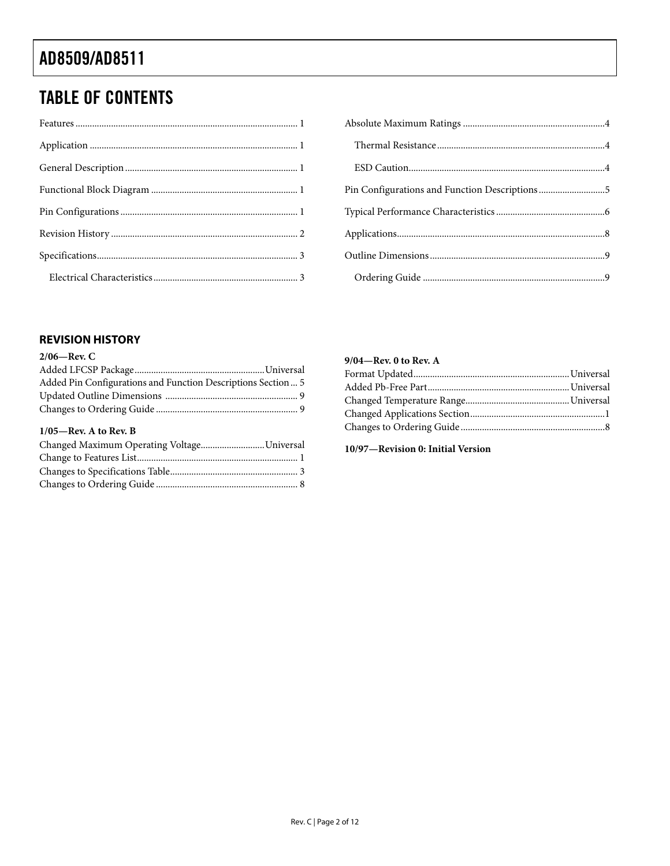# TABLE OF CONTENTS

| Pin Configurations and Function Descriptions5 |  |
|-----------------------------------------------|--|
|                                               |  |
|                                               |  |
|                                               |  |
|                                               |  |

### **REVISION HISTORY**

| $2/06$ —Rev. C                                                |  |
|---------------------------------------------------------------|--|
|                                                               |  |
| Added Pin Configurations and Function Descriptions Section  5 |  |
|                                                               |  |
|                                                               |  |
| $1/05$ —Rev. A to Rev. B                                      |  |

| Changed Maximum Operating VoltageUniversal |  |
|--------------------------------------------|--|
|                                            |  |
|                                            |  |
|                                            |  |

#### **9/04—Rev. 0 to Rev. A**

**10/97—Revision 0: Initial Version**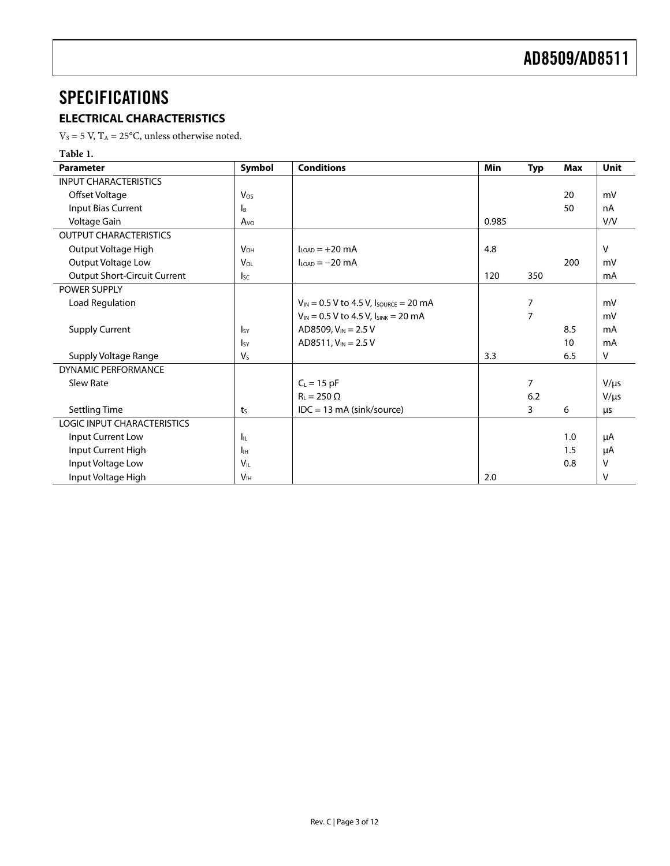# <span id="page-2-0"></span>**SPECIFICATIONS**

### **ELECTRICAL CHARACTERISTICS**

 $\mathrm{V}_\mathrm{S} = 5$  V,  $\mathrm{T}_\mathrm{A} = 25^{\circ}\mathrm{C}$  , unless otherwise noted.

#### **Table 1.**

| <b>Parameter</b>                    | Symbol          | <b>Conditions</b>                             | Min   | <b>Typ</b> | <b>Max</b> | Unit      |
|-------------------------------------|-----------------|-----------------------------------------------|-------|------------|------------|-----------|
| <b>INPUT CHARACTERISTICS</b>        |                 |                                               |       |            |            |           |
| Offset Voltage                      | Vos             |                                               |       |            | 20         | mV        |
| Input Bias Current                  | Iв              |                                               |       |            | 50         | nA        |
| Voltage Gain                        | Avo             |                                               | 0.985 |            |            | V/V       |
| <b>OUTPUT CHARACTERISTICS</b>       |                 |                                               |       |            |            |           |
| Output Voltage High                 | $V_{OH}$        | $ILOAD = +20 mA$                              | 4.8   |            |            | $\vee$    |
| Output Voltage Low                  | Vol             | $I_{LOAD} = -20$ mA                           |       |            | 200        | mV        |
| <b>Output Short-Circuit Current</b> | $I_{SC}$        |                                               | 120   | 350        |            | mA        |
| <b>POWER SUPPLY</b>                 |                 |                                               |       |            |            |           |
| Load Regulation                     |                 | $V_{IN} = 0.5 V$ to 4.5 V, Isource = 20 mA    |       | 7          |            | mV        |
|                                     |                 | $V_{IN} = 0.5 V$ to 4.5 V, $I_{SINK} = 20 mA$ |       | 7          |            | mV        |
| <b>Supply Current</b>               | IsY             | AD8509, $V_{IN}$ = 2.5 V                      |       |            | 8.5        | mA        |
|                                     | $I_{SY}$        | AD8511, $V_{IN} = 2.5 V$                      |       |            | 10         | mA        |
| Supply Voltage Range                | $V_{S}$         |                                               | 3.3   |            | 6.5        | $\vee$    |
| <b>DYNAMIC PERFORMANCE</b>          |                 |                                               |       |            |            |           |
| <b>Slew Rate</b>                    |                 | $C_L = 15$ pF                                 |       | 7          |            | $V/\mu s$ |
|                                     |                 | $R_L = 250 \Omega$                            |       | 6.2        |            | $V/\mu s$ |
| <b>Settling Time</b>                | t <sub>S</sub>  | $IDC = 13 mA (sink/source)$                   |       | 3          | 6          | μs        |
| <b>LOGIC INPUT CHARACTERISTICS</b>  |                 |                                               |       |            |            |           |
| Input Current Low                   | Ιı              |                                               |       |            | 1.0        | μA        |
| Input Current High                  | İн              |                                               |       |            | 1.5        | μA        |
| Input Voltage Low                   | $V_{\text{IL}}$ |                                               |       |            | 0.8        | v         |
| Input Voltage High                  | V <sub>IH</sub> |                                               | 2.0   |            |            | $\vee$    |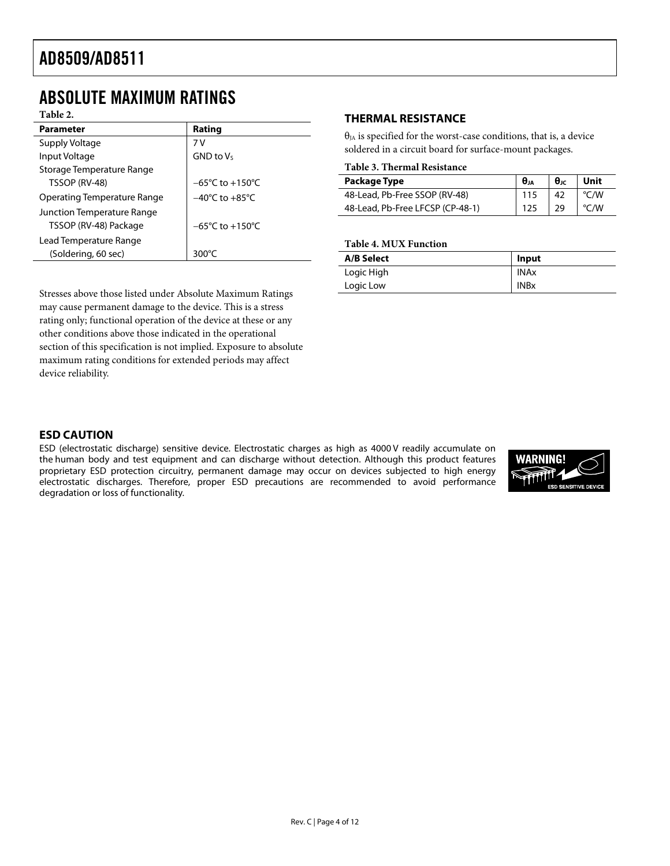# <span id="page-3-0"></span>**ABSOLUTE MAXIMUM RATINGS**<br>Table 2.

|                             |                                     | IIILNIVIAL NLJIJI AIVUL                                                     |               |                               |             |  |
|-----------------------------|-------------------------------------|-----------------------------------------------------------------------------|---------------|-------------------------------|-------------|--|
| <b>Parameter</b>            | Rating                              |                                                                             |               |                               |             |  |
| Supply Voltage              | 7 V                                 | $\theta_{IA}$ is specified for the worst-case conditions, that is, a device |               |                               |             |  |
| Input Voltage               | $GND$ to $V_S$                      | soldered in a circuit board for surface-mount packages.                     |               |                               |             |  |
| Storage Temperature Range   |                                     | Table 3. Thermal Resistance                                                 |               |                               |             |  |
| TSSOP (RV-48)               | $-65^{\circ}$ C to $+150^{\circ}$ C | Package Type                                                                | $\theta_{JA}$ | $\mathbf{\Theta}_{\text{JC}}$ | <b>Unit</b> |  |
| Operating Temperature Range | $-40^{\circ}$ C to $+85^{\circ}$ C  | 48-Lead, Pb-Free SSOP (RV-48)                                               | 115           | 42                            | °C/W        |  |
| Junction Temperature Range  |                                     | 48-Lead, Pb-Free LFCSP (CP-48-1)                                            | 125           | 29                            | °C/W        |  |
| TSSOP (RV-48) Package       | $-65^{\circ}$ C to $+150^{\circ}$ C |                                                                             |               |                               |             |  |
| Lead Temperature Range      |                                     | <b>Table 4. MUX Function</b>                                                |               |                               |             |  |
| (Soldering, 60 sec)         | 300 $\degree$ C                     | <b>A/B Select</b>                                                           | Input         |                               |             |  |
|                             |                                     |                                                                             |               |                               |             |  |

Stresses above those listed under Absolute Maximum Ratings may cause permanent damage to the device. This is a stress rating only; functional operation of the device at these or any other conditions above those indicated in the operational section of this specification is not implied. Exposure to absolute maximum rating conditions for extended periods may affect device reliability.

#### **THERMAL RESISTANCE**

#### Table 3. Thermal Resistance

| TSSOP (RV-48)              | $-65^{\circ}$ C to $+150^{\circ}$ C | Package Type                     | $\theta_{JA}$ | $\theta_{\rm JC}$ | Unit |
|----------------------------|-------------------------------------|----------------------------------|---------------|-------------------|------|
| perating Temperature Range | $-40^{\circ}$ C to $+85^{\circ}$ C  | 48-Lead, Pb-Free SSOP (RV-48)    |               | 42                | °C/W |
| nction Temnerature Range   |                                     | 48-Lead, Pb-Free LFCSP (CP-48-1) | 125           | 29                | °C/W |

#### **Table 4. MUX Function**

| A/B Select | Input       |
|------------|-------------|
| Logic High | <b>INAx</b> |
| Logic Low  | <b>INBx</b> |

#### **ESD CAUTION**

ESD (electrostatic discharge) sensitive device. Electrostatic charges as high as 4000 V readily accumulate on the human body and test equipment and can discharge without detection. Although this product features proprietary ESD protection circuitry, permanent damage may occur on devices subjected to high energy electrostatic discharges. Therefore, proper ESD precautions are recommended to avoid performance degradation or loss of functionality.

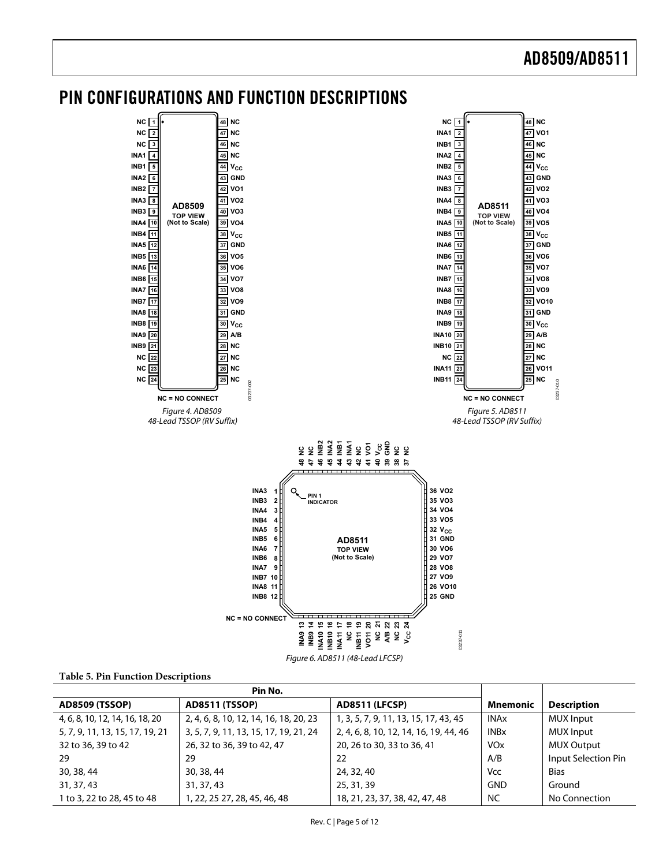## <span id="page-4-0"></span>PIN CONFIGURATIONS AND FUNCTION DESCRIPTIONS



|                                 | Pin No.                                |                                        |                       |                     |
|---------------------------------|----------------------------------------|----------------------------------------|-----------------------|---------------------|
| <b>AD8509 (TSSOP)</b>           | <b>AD8511 (TSSOP)</b>                  | AD8511 (LFCSP)                         | <b>Mnemonic</b>       | <b>Description</b>  |
| 4, 6, 8, 10, 12, 14, 16, 18, 20 | 2, 4, 6, 8, 10, 12, 14, 16, 18, 20, 23 | 1, 3, 5, 7, 9, 11, 13, 15, 17, 43, 45  | <b>INAx</b>           | <b>MUX</b> Input    |
| 5, 7, 9, 11, 13, 15, 17, 19, 21 | 3, 5, 7, 9, 11, 13, 15, 17, 19, 21, 24 | 2, 4, 6, 8, 10, 12, 14, 16, 19, 44, 46 | <b>INBx</b>           | <b>MUX</b> Input    |
| 32 to 36, 39 to 42              | 26, 32 to 36, 39 to 42, 47             | 20, 26 to 30, 33 to 36, 41             | <b>VO<sub>x</sub></b> | MUX Output          |
| 29                              | 29                                     | 22                                     | A/B                   | Input Selection Pin |
| 30, 38, 44                      | 30, 38, 44                             | 24, 32, 40                             | <b>Vcc</b>            | <b>Bias</b>         |
| 31, 37, 43                      | 31, 37, 43                             | 25, 31, 39                             | <b>GND</b>            | Ground              |
| 1 to 3, 22 to 28, 45 to 48      | 1, 22, 25 27, 28, 45, 46, 48           | 18, 21, 23, 37, 38, 42, 47, 48         | <b>NC</b>             | No Connection       |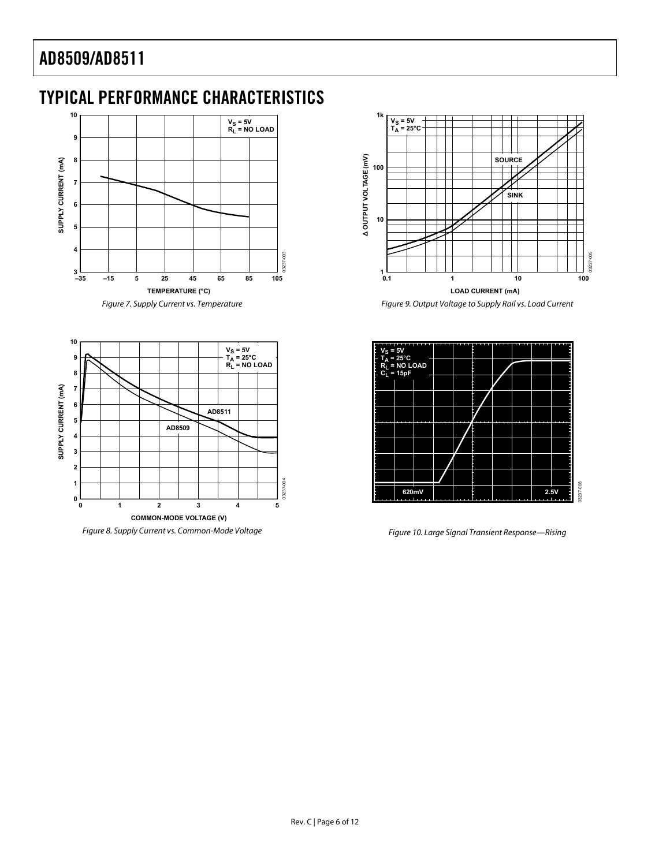# <span id="page-5-0"></span>TYPICAL PERFORMANCE CHARACTERISTICS







Figure 7. Supply Current vs. Temperature Figure 9. Output Voltage to Supply Rail vs. Load Current

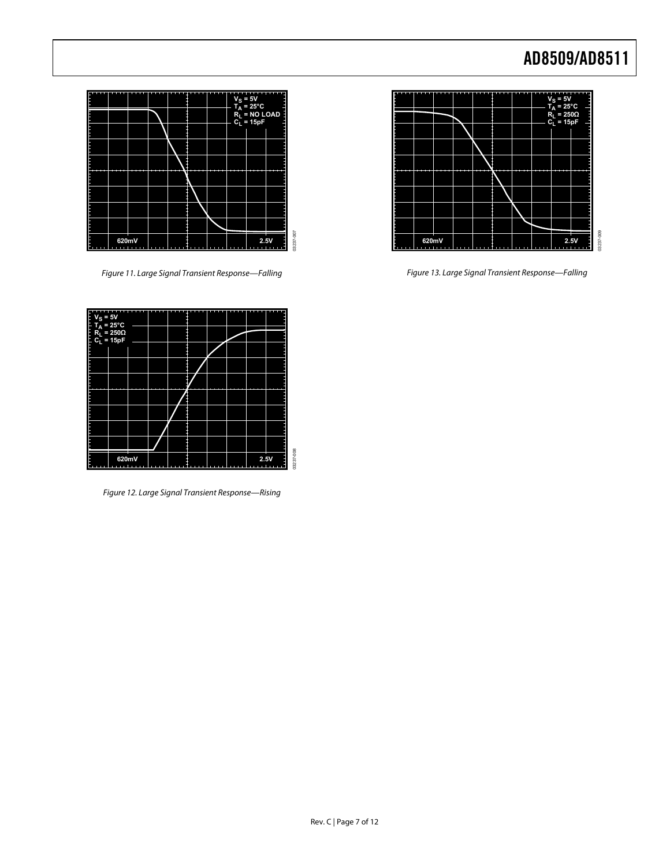

Figure 11. Large Signal Transient Response—Falling Figure 13. Large Signal Transient Response—Falling



| $V_S = 5V$<br>T <sub>A</sub> = 25°C<br>R <sub>L</sub> = 250Ω<br>C <sub>L</sub> = 15pF |  |  |  |                   |
|---------------------------------------------------------------------------------------|--|--|--|-------------------|
|                                                                                       |  |  |  |                   |
|                                                                                       |  |  |  |                   |
|                                                                                       |  |  |  |                   |
|                                                                                       |  |  |  |                   |
|                                                                                       |  |  |  |                   |
|                                                                                       |  |  |  |                   |
|                                                                                       |  |  |  |                   |
| 620mV                                                                                 |  |  |  | 03237-008<br>2.5V |

Figure 12. Large Signal Transient Response—Rising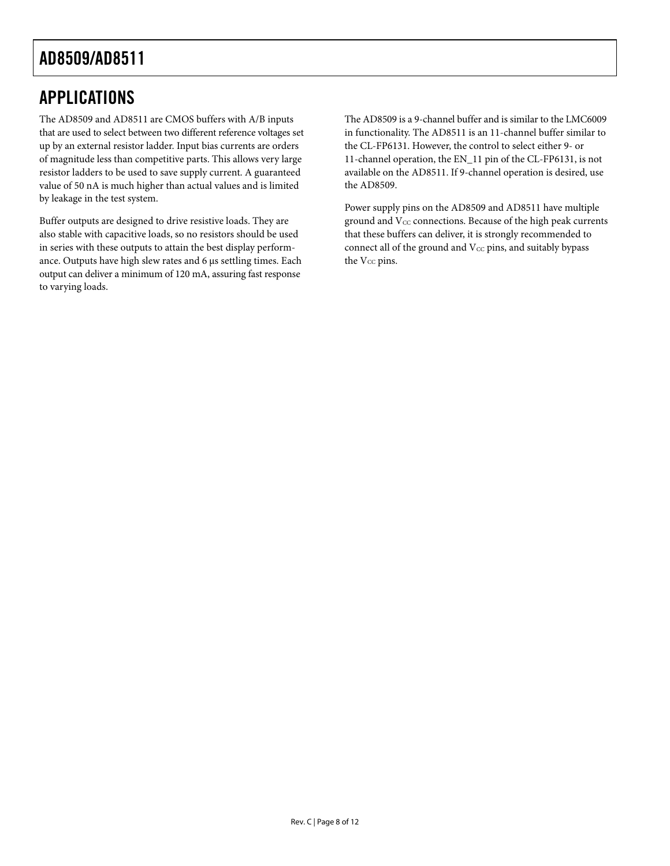# <span id="page-7-0"></span>APPLICATIONS

The AD8509 and AD8511 are CMOS buffers with A/B inputs that are used to select between two different reference voltages set up by an external resistor ladder. Input bias currents are orders of magnitude less than competitive parts. This allows very large resistor ladders to be used to save supply current. A guaranteed value of 50 nA is much higher than actual values and is limited by leakage in the test system.

Buffer outputs are designed to drive resistive loads. They are also stable with capacitive loads, so no resistors should be used in series with these outputs to attain the best display performance. Outputs have high slew rates and 6 μs settling times. Each output can deliver a minimum of 120 mA, assuring fast response to varying loads.

The AD8509 is a 9-channel buffer and is similar to the LMC6009 in functionality. The AD8511 is an 11-channel buffer similar to the CL-FP6131. However, the control to select either 9- or 11-channel operation, the EN\_11 pin of the CL-FP6131, is not available on the AD8511. If 9-channel operation is desired, use the AD8509.

Power supply pins on the AD8509 and AD8511 have multiple ground and  $V_{CC}$  connections. Because of the high peak currents that these buffers can deliver, it is strongly recommended to connect all of the ground and  $V_{CC}$  pins, and suitably bypass the V<sub>CC</sub> pins.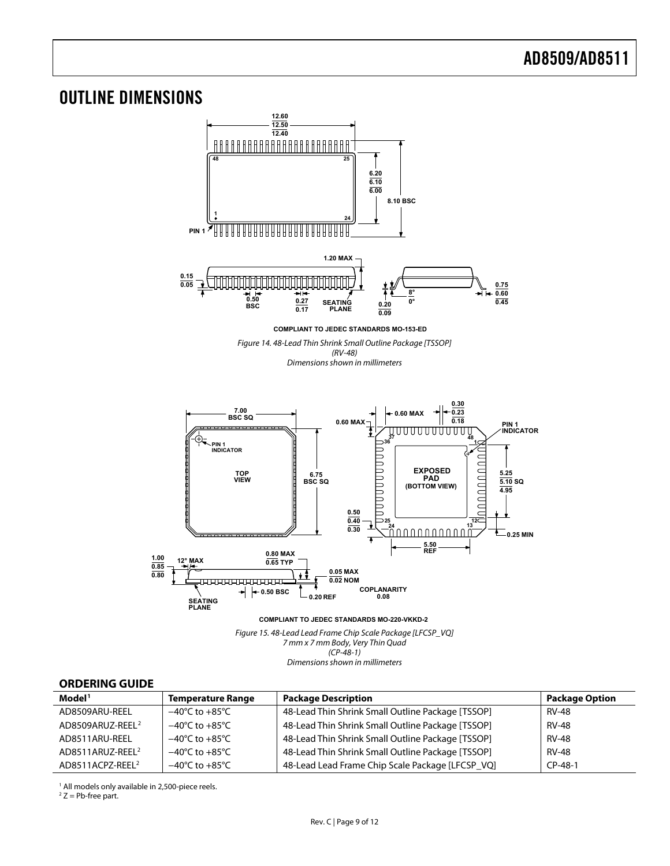## <span id="page-8-0"></span>OUTLINE DIMENSIONS



#### **ORDERING GUIDE**

| Model <sup>1</sup>           | <b>Temperature Range</b>           | <b>Package Description</b>                        | <b>Package Option</b> |
|------------------------------|------------------------------------|---------------------------------------------------|-----------------------|
| AD8509ARU-REEL               | $-40^{\circ}$ C to $+85^{\circ}$ C | 48-Lead Thin Shrink Small Outline Package [TSSOP] | <b>RV-48</b>          |
| AD8509ARUZ-REEL <sup>2</sup> | –40°C to +85°C                     | 48-Lead Thin Shrink Small Outline Package [TSSOP] | <b>RV-48</b>          |
| AD8511ARU-REEL               | $-40^{\circ}$ C to $+85^{\circ}$ C | 48-Lead Thin Shrink Small Outline Package [TSSOP] | <b>RV-48</b>          |
| AD8511ARUZ-REEL <sup>2</sup> | $-40^{\circ}$ C to $+85^{\circ}$ C | 48-Lead Thin Shrink Small Outline Package [TSSOP] | <b>RV-48</b>          |
| AD8511ACPZ-REEL <sup>2</sup> | $-40^{\circ}$ C to $+85^{\circ}$ C | 48-Lead Lead Frame Chip Scale Package [LFCSP_VQ]  | $CP-48-1$             |

<sup>1</sup> All models only available in 2,500-piece reels.<br><sup>2</sup> 7 – Ph-free part

 $2$  Z = Pb-free part.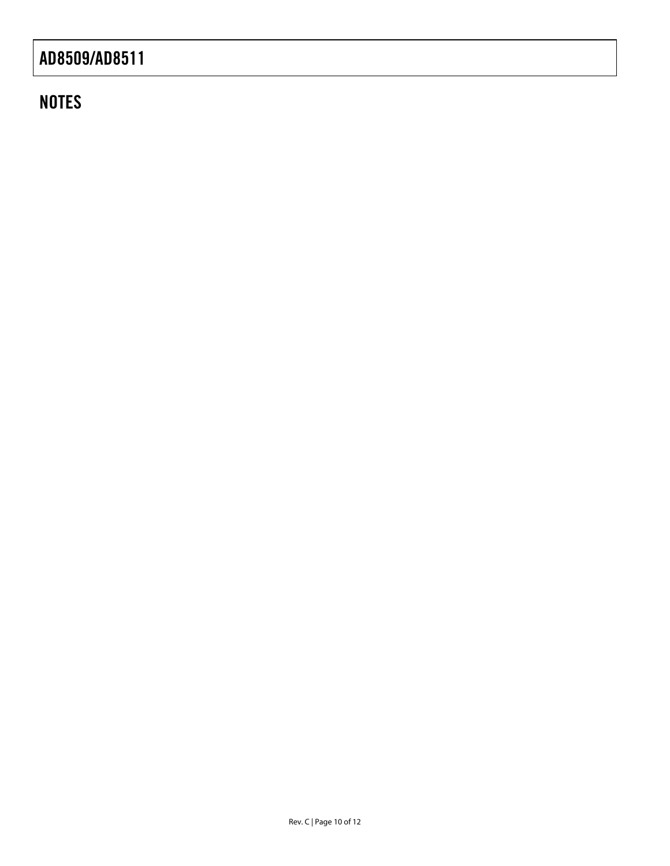# **NOTES**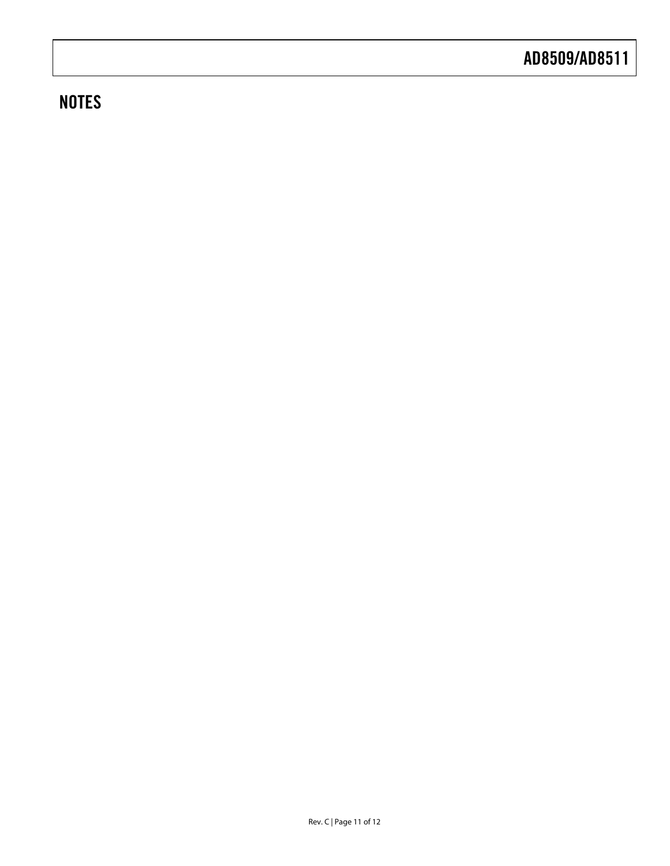# **NOTES**